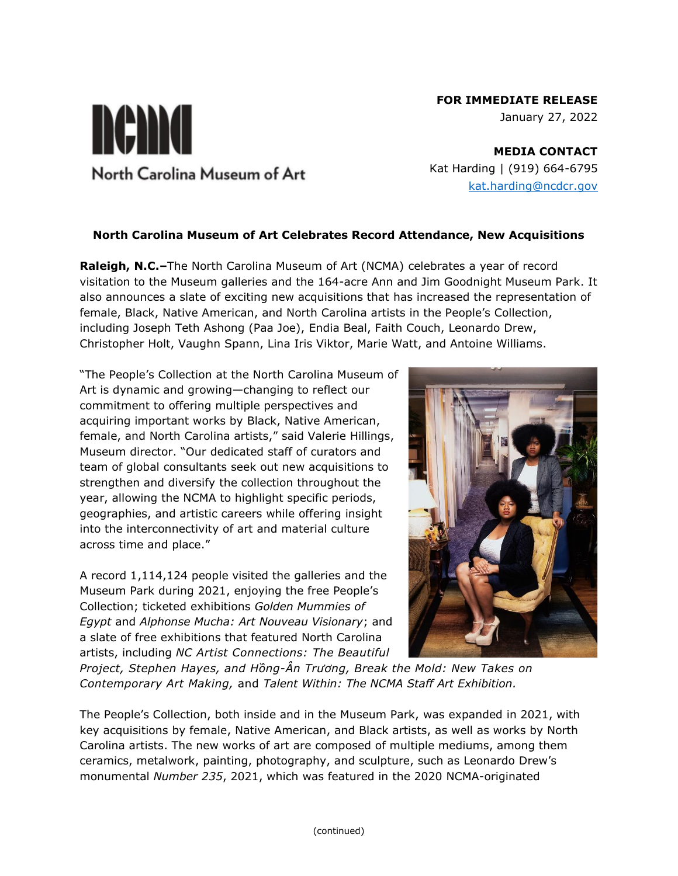# **FOR IMMEDIATE RELEASE**

January 27, 2022

**MEDIA CONTACT** Kat Harding | (919) 664-6795 [kat.harding@ncdcr.gov](mailto:kat.harding@ncdcr.gov)

## **North Carolina Museum of Art Celebrates Record Attendance, New Acquisitions**

**Raleigh, N.C.–**The North Carolina Museum of Art (NCMA) celebrates a year of record visitation to the Museum galleries and the 164-acre Ann and Jim Goodnight Museum Park. It also announces a slate of exciting new acquisitions that has increased the representation of female, Black, Native American, and North Carolina artists in the People's Collection, including Joseph Teth Ashong (Paa Joe), Endia Beal, Faith Couch, Leonardo Drew, Christopher Holt, Vaughn Spann, Lina Iris Viktor, Marie Watt, and Antoine Williams.

"The People's Collection at the North Carolina Museum of Art is dynamic and growing—changing to reflect our commitment to offering multiple perspectives and acquiring important works by Black, Native American, female, and North Carolina artists," said Valerie Hillings, Museum director. "Our dedicated staff of curators and team of global consultants seek out new acquisitions to strengthen and diversify the collection throughout the year, allowing the NCMA to highlight specific periods, geographies, and artistic careers while offering insight into the interconnectivity of art and material culture across time and place."

nema

North Carolina Museum of Art

A record 1,114,124 people visited the galleries and the Museum Park during 2021, enjoying the free People's Collection; ticketed exhibitions *Golden Mummies of Egypt* and *Alphonse Mucha: Art Nouveau Visionary*; and a slate of free exhibitions that featured North Carolina artists, including *NC Artist Connections: The Beautiful*



*Project, Stephen Hayes, and Hồng-Ân Trương, Break the Mold: New Takes on Contemporary Art Making,* and *Talent Within: The NCMA Staff Art Exhibition.*

The People's Collection, both inside and in the Museum Park, was expanded in 2021, with key acquisitions by female, Native American, and Black artists, as well as works by North Carolina artists. The new works of art are composed of multiple mediums, among them ceramics, metalwork, painting, photography, and sculpture, such as Leonardo Drew's monumental *Number 235*, 2021, which was featured in the 2020 NCMA-originated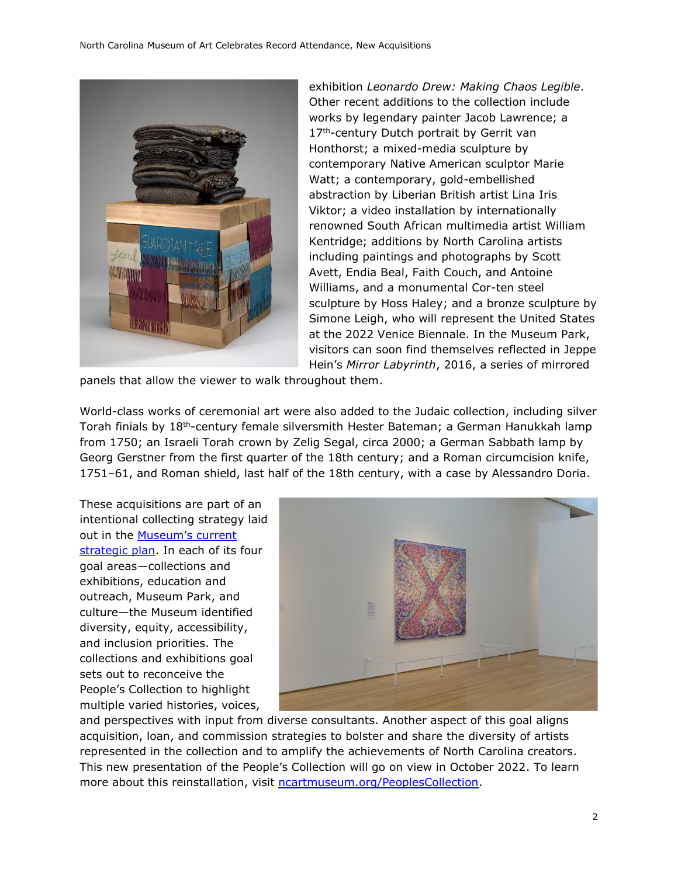

exhibition *Leonardo Drew: Making Chaos Legible*. Other recent additions to the collection include works by legendary painter Jacob Lawrence; a 17<sup>th</sup>-century Dutch portrait by Gerrit van Honthorst; a mixed-media sculpture by contemporary Native American sculptor Marie Watt; a contemporary, gold-embellished abstraction by Liberian British artist Lina Iris Viktor; a video installation by internationally renowned South African multimedia artist William Kentridge; additions by North Carolina artists including paintings and photographs by Scott Avett, Endia Beal, Faith Couch, and Antoine Williams, and a monumental Cor-ten steel sculpture by Hoss Haley; and a bronze sculpture by Simone Leigh, who will represent the United States at the 2022 Venice Biennale. In the Museum Park, visitors can soon find themselves reflected in Jeppe Hein's *Mirror Labyrinth*, 2016, a series of mirrored

panels that allow the viewer to walk throughout them.

World-class works of ceremonial art were also added to the Judaic collection, including silver Torah finials by 18th-century female silversmith Hester Bateman; a German Hanukkah lamp from 1750; an Israeli Torah crown by Zelig Segal, circa 2000; a German Sabbath lamp by Georg Gerstner from the first quarter of the 18th century; and a Roman circumcision knife, 1751–61, and Roman shield, last half of the 18th century, with a case by Alessandro Doria.

These acquisitions are part of an intentional collecting strategy laid out in the **Museum's current** [strategic plan.](https://ncartmuseum.org/series/strategic-plan-and-diversity-equity-and-inclusion-work/) In each of its four goal areas—collections and exhibitions, education and outreach, Museum Park, and culture—the Museum identified diversity, equity, accessibility, and inclusion priorities. The collections and exhibitions goal sets out to reconceive the People's Collection to highlight multiple varied histories, voices,



and perspectives with input from diverse consultants. Another aspect of this goal aligns acquisition, loan, and commission strategies to bolster and share the diversity of artists represented in the collection and to amplify the achievements of North Carolina creators. This new presentation of the People's Collection will go on view in October 2022. To learn more about this reinstallation, visit [ncartmuseum.org/PeoplesCollection.](https://ncartmuseum.org/series/reinstallation-opens-october-2022/)